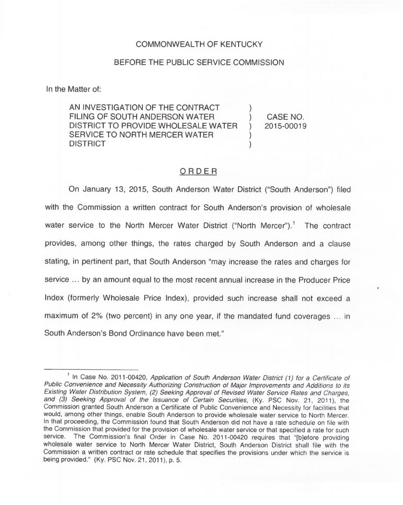### COMMONWEALTH OF KENTUCKY

#### BEFORE THE PUBLIC SERVICE COMMISSION

In the Matter of:

AN INVESTIGATION OF THE CONTRACT FILING OF SOUTH ANDERSON WATER  $\qquad$  ) CASE NO.<br>DISTRICT TO PROVIDE WHOLESALE WATER ) 2015-00019 DISTRICT TO PROVIDE WHOLESALE WATER SERVICE TO NORTH MERCER WATER **DISTRICT** 

## ORDER

On January 13, 2015, South Anderson Water District ("South Anderson") filed with the Commission a written contract for South Anderson's provision of wholesale water service to the North Mercer Water District ("North Mercer").<sup>1</sup> The contract provides, among other things, the rates charged by South Anderson and a clause stating, in pertinent part, that South Anderson "may increase the rates and charges for service ... by an amount equal to the most recent annual increase in the Producer Price Index (formerly Wholesale Price Index), provided such increase shall not exceed a maximum of 2% (two percent) in any one year, if the mandated fund coverages ... in South Anderson's Bond Ordinance have been met."

<sup>&</sup>lt;sup>1</sup> In Case No. 2011-00420, Application of South Anderson Water District (1) for a Certificate of Public Convenience and Necessity Authorizing Construction of Major Improvements and Additions to its Existing Water Distribution System, (2) Seeking Approval of Revised Water Service Rates and Charges, and (3) Seeking Approval of the Issuance of Certain Securities, (Ky. PSC Nov. 21, 2011), the Commission granted South Anderson a Certificate of Public Convenience and Necessity for facilities that would, among other things, enable South Anderson to provide wholesale water service to North Mercer. In that proceeding, the Commission found that South Anderson did not have a rate schedule on file with the Commission that provided for the provision of wholesale water service or that specified a rate for such service. The Commission's final Order in Case No. 2011-00420 requires that "[b]efore providing wholesale water service to North Mercer Water District, South Anderson District shall file with the Commission a written contract or rate schedule that specifies the provisions under which the service is being provided." (Ky. PSC Nov. 21, 2011), p. 5.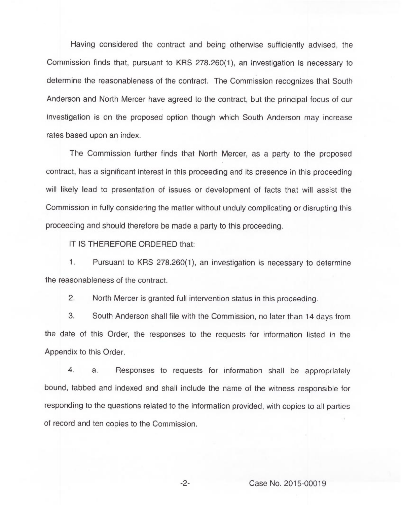Having considered the contract and being otherwise sufficiently advised, the Commission finds that, pursuant to KRS 278.260(1), an investigation is necessary to determine the reasonableness of the contract. The Commission recognizes that South Anderson and North Mercer have agreed to the contract, but the principal focus of our investigation is on the proposed option though which South Anderson may increase rates based upon an index.

The Commission further finds that North Mercer, as a party to the proposed contract, has a significant interest in this proceeding and its presence in this proceeding will likely lead to presentation of issues or development of facts that will assist the Commission in fully considering the matter without unduly complicating or disrupting this proceeding and should therefore be made a party to this proceeding.

IT IS THEREFORE ORDERED that:

1. Pursuant to KRS 278.260(1), an investigation is necessary to determine the reasonableness of the contract.

2. North Mercer is granted full intervention status in this proceeding.

3. South Anderson shall file with the Commission, no later than 14 days from the date of this Order, the responses to the requests for information listed in the Appendix to this Order.

4. a. Responses to requests for information shall be appropriately bound, tabbed and indexed and shall include the name of the witness responsible for responding to the questions related to the information provided, with copies to all parties of record and ten copies to the Commission.

-2- Case No. 2015-00019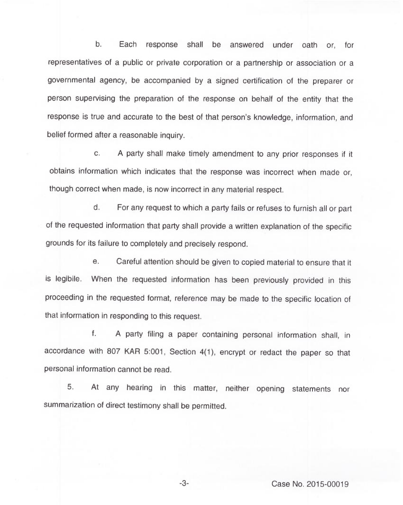b. Each response shall be answered under oath or, for representatives of a public or private corporation or a partnership or association or a governmental agency, be accompanied by a signed certification of the preparer or person supervising the preparation of the response on behalf of the entity that the response is true and accurate to the best of that person's knowledge, information, and belief formed after a reasonable inquiry.

c. <sup>A</sup> party shall make timely amendment to any prior responses if it obtains information which indicates that the response was incorrect when made or, though correct when made, is now incorrect in any material respect.

d. For any request to which a party fails or refuses to furnish all or part of the requested information that party shall provide a written explanation of the specific grounds for its failure to completely and precisely respond.

e. Careful attention should be given to copied material to ensure that it is legibile. When the requested information has been previously provided in this proceeding in the requested format, reference may be made to the specific location of that information in responding to this request.

f. <sup>A</sup> party filing a paper containing personal information shall, in accordance with 807 KAR 5:001, Section 4(1), encrypt or redact the paper so that personal information cannot be read.

5. At any hearing in this matter, neither opening statements nor summarization of direct testimony shall be permitted.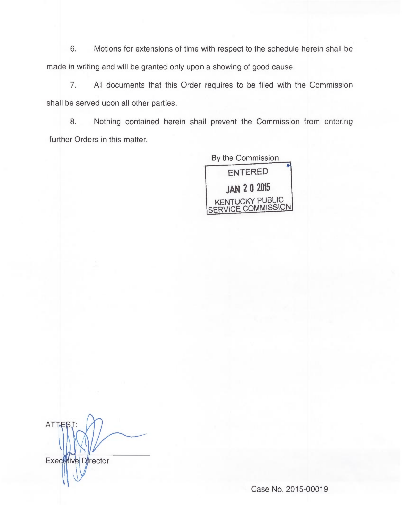6. Motions for extensions of time with respect to the schedule herein shall be made in writing and will be granted only upon a showing of good cause.

7. All documents that this Order requires to be filed with the Commission shall be served upon all other parties.

8. Nothing contained herein shall prevent the Commission from entering further Orders in this matter.

> By the Commission ENTERED **JAN 2 0 2015** KENTUCKY PUBLIC SERVICE COMMISSION

**ATTES** Executive Director

Case No. 2015-00019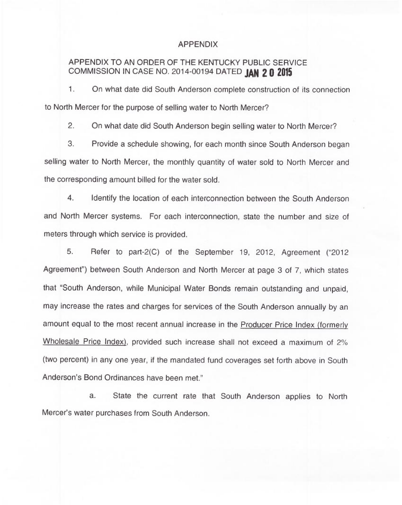#### APPENDIX

# APPENDIX TO AN ORDER OF THE KENTUCKY PUBLIC SERVICE COMMISSION IN CASE NO. 2014-00194 DATED JAN 2 0 2015

1. On what date did South Anderson complete construction of its connection to North Mercer for the purpose of selling water to North Mercer?

2. On what date did South Anderson begin selling water to North Mercer?

3. Provide a schedule showing, for each month since South Anderson began selling water to North Mercer, the monthly quantity of water sold to North Mercer and the corresponding amount billed for the water sold.

4. Identify the location of each interconnection between the South Anderson and North Mercer systems. For each interconnection, state the number and size of meters through which service is provided.

5. Refer to part-2(C) of the September 19, 2012, Agreement ("2012 Agreement") between South Anderson and North Mercer at page 3 of 7, which states that "South Anderson, while Municipal Water Bonds remain outstanding and unpaid, may increase the rates and charges for services of the South Anderson annually by an amount equal to the most recent annual increase in the Producer Price Index (formerly Wholesale Price Index), provided such increase shall not exceed a maximum of 2% (two percent) in any one year, if the mandated fund coverages set forth above in South Anderson's Bond Ordinances have been met."

a. State the current rate that South Anderson applies to North Mercer's water purchases from South Anderson.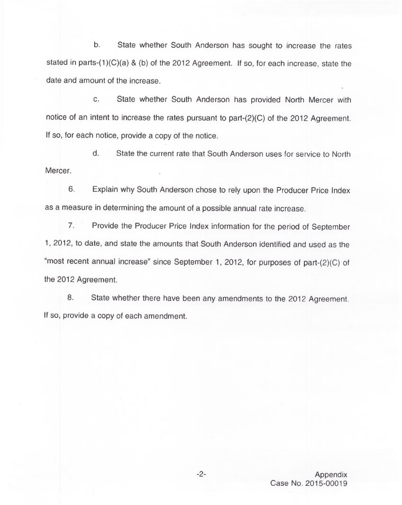b. State whether South Anderson has sought to increase the rates stated in parts-(1)(C)(a) & (b) of the 2012 Agreement. If so, for each increase, state the date and amount of the increase.

c. State whether South Anderson has provided North Mercer with notice of an intent to increase the rates pursuant to part-(2)(C) of the 2012 Agreement. If so, for each notice, provide a copy of the notice.

d. State the current rate that South Anderson uses for service to North Mercer.

6. Explain why South Anderson chose to rely upon the Producer Price Index as a measure in determining the amount of a possible annual rate increase.

7. Provide the Producer Price Index information for the period of September 1, 2012, to date, and state the amounts that South Anderson identified and used as the "most recent annual increase" since September 1, 2012, for purposes of part-(2)(C) of the 2012 Agreement.

8. State whether there have been any amendments to the 2012 Agreement. If so, provide a copy of each amendment.